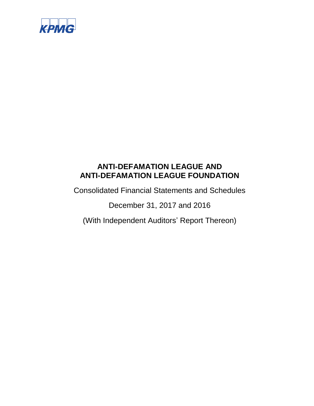

Consolidated Financial Statements and Schedules

December 31, 2017 and 2016

(With Independent Auditors' Report Thereon)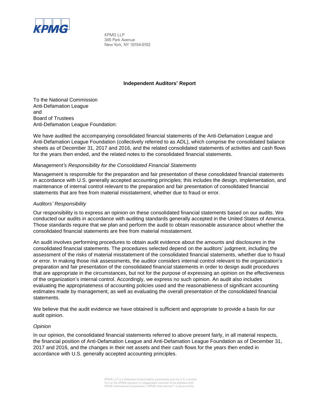

KPMG LLP 345 Park Avenue New York, NY 10154-0102

# **Independent Auditors' Report**

To the National Commission Anti-Defamation League and Board of Trustees Anti-Defamation League Foundation:

We have audited the accompanying consolidated financial statements of the Anti-Defamation League and Anti-Defamation League Foundation (collectively referred to as ADL), which comprise the consolidated balance sheets as of December 31, 2017 and 2016, and the related consolidated statements of activities and cash flows for the years then ended, and the related notes to the consolidated financial statements.

# *Management's Responsibility for the Consolidated Financial Statements*

Management is responsible for the preparation and fair presentation of these consolidated financial statements in accordance with U.S. generally accepted accounting principles; this includes the design, implementation, and maintenance of internal control relevant to the preparation and fair presentation of consolidated financial statements that are free from material misstatement, whether due to fraud or error.

# *Auditors' Responsibility*

Our responsibility is to express an opinion on these consolidated financial statements based on our audits. We conducted our audits in accordance with auditing standards generally accepted in the United States of America. Those standards require that we plan and perform the audit to obtain reasonable assurance about whether the consolidated financial statements are free from material misstatement.

An audit involves performing procedures to obtain audit evidence about the amounts and disclosures in the consolidated financial statements. The procedures selected depend on the auditors' judgment, including the assessment of the risks of material misstatement of the consolidated financial statements, whether due to fraud or error. In making those risk assessments, the auditor considers internal control relevant to the organization's preparation and fair presentation of the consolidated financial statements in order to design audit procedures that are appropriate in the circumstances, but not for the purpose of expressing an opinion on the effectiveness of the organization's internal control. Accordingly, we express no such opinion. An audit also includes evaluating the appropriateness of accounting policies used and the reasonableness of significant accounting estimates made by management, as well as evaluating the overall presentation of the consolidated financial statements.

We believe that the audit evidence we have obtained is sufficient and appropriate to provide a basis for our audit opinion.

# *Opinion*

In our opinion, the consolidated financial statements referred to above present fairly, in all material respects, the financial position of Anti-Defamation League and Anti-Defamation League Foundation as of December 31, 2017 and 2016, and the changes in their net assets and their cash flows for the years then ended in accordance with U.S. generally accepted accounting principles.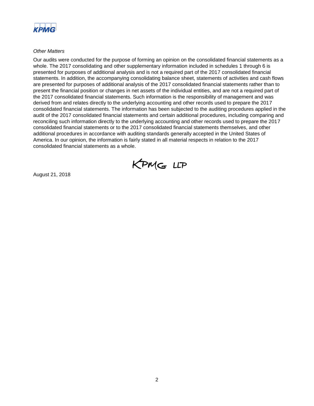

# *Other Matters*

Our audits were conducted for the purpose of forming an opinion on the consolidated financial statements as a whole. The 2017 consolidating and other supplementary information included in schedules 1 through 6 is presented for purposes of additional analysis and is not a required part of the 2017 consolidated financial statements. In addition, the accompanying consolidating balance sheet, statements of activities and cash flows are presented for purposes of additional analysis of the 2017 consolidated financial statements rather than to present the financial position or changes in net assets of the individual entities, and are not a required part of the 2017 consolidated financial statements. Such information is the responsibility of management and was derived from and relates directly to the underlying accounting and other records used to prepare the 2017 consolidated financial statements. The information has been subjected to the auditing procedures applied in the audit of the 2017 consolidated financial statements and certain additional procedures, including comparing and reconciling such information directly to the underlying accounting and other records used to prepare the 2017 consolidated financial statements or to the 2017 consolidated financial statements themselves, and other additional procedures in accordance with auditing standards generally accepted in the United States of America. In our opinion, the information is fairly stated in all material respects in relation to the 2017 consolidated financial statements as a whole.



August 21, 2018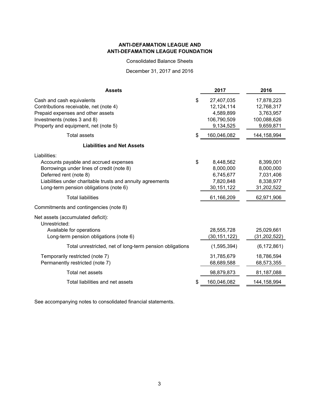Consolidated Balance Sheets

December 31, 2017 and 2016

| <b>Assets</b>                                                                                                                                                                                                                                                    | 2017                                                                               | 2016                                                                         |
|------------------------------------------------------------------------------------------------------------------------------------------------------------------------------------------------------------------------------------------------------------------|------------------------------------------------------------------------------------|------------------------------------------------------------------------------|
| Cash and cash equivalents<br>Contributions receivable, net (note 4)<br>Prepaid expenses and other assets<br>Investments (notes 3 and 8)<br>Property and equipment, net (note 5)                                                                                  | \$<br>27,407,035<br>12,124,114<br>4,589,899<br>106,790,509<br>9,134,525            | 17,878,223<br>12,768,317<br>3,763,957<br>100,088,626<br>9,659,871            |
| <b>Total assets</b>                                                                                                                                                                                                                                              | \$<br>160,046,082                                                                  | 144,158,994                                                                  |
| <b>Liabilities and Net Assets</b>                                                                                                                                                                                                                                |                                                                                    |                                                                              |
| Liabilities:<br>Accounts payable and accrued expenses<br>Borrowings under lines of credit (note 8)<br>Deferred rent (note 8)<br>Liabilities under charitable trusts and annuity agreements<br>Long-term pension obligations (note 6)<br><b>Total liabilities</b> | \$<br>8,448,562<br>8,000,000<br>6,745,677<br>7,820,848<br>30,151,122<br>61,166,209 | 8,399,001<br>8,000,000<br>7,031,406<br>8,338,977<br>31,202,522<br>62,971,906 |
| Commitments and contingencies (note 8)                                                                                                                                                                                                                           |                                                                                    |                                                                              |
| Net assets (accumulated deficit):<br>Unrestricted:<br>Available for operations<br>Long-term pension obligations (note 6)                                                                                                                                         | 28,555,728<br>(30, 151, 122)                                                       | 25,029,661<br>(31,202,522)                                                   |
| Total unrestricted, net of long-term pension obligations                                                                                                                                                                                                         | (1,595,394)                                                                        | (6, 172, 861)                                                                |
| Temporarily restricted (note 7)<br>Permanently restricted (note 7)                                                                                                                                                                                               | 31,785,679<br>68,689,588                                                           | 18,786,594<br>68,573,355                                                     |
| Total net assets                                                                                                                                                                                                                                                 | 98,879,873                                                                         | 81,187,088                                                                   |
| Total liabilities and net assets                                                                                                                                                                                                                                 | \$<br>160,046,082                                                                  | 144,158,994                                                                  |

See accompanying notes to consolidated financial statements.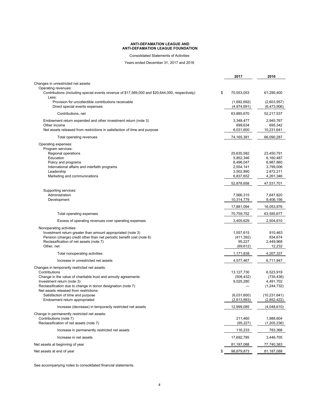Consolidated Statements of Activities

Years ended December 31, 2017 and 2016

|                                                                                                          | 2017                       | 2016                       |
|----------------------------------------------------------------------------------------------------------|----------------------------|----------------------------|
| Changes in unrestricted net assets:<br>Operating revenues:                                               |                            |                            |
| Contributions (including special events revenue of \$17,569,000 and \$20,644,000, respectively)<br>Less: | \$<br>70,553,053           | 61,295,400                 |
| Provision for uncollectible contributions receivable<br>Direct special events expenses                   | (1,692,692)<br>(4,974,691) | (2,603,957)<br>(6,473,906) |
| Contributions, net                                                                                       | 63,885,670                 | 52,217,537                 |
| Endowment return expended and other investment return (note 3)<br>Other income                           | 3,348,477<br>899,634       | 2,945,767<br>695,342       |
| Net assets released from restrictions in satisfaction of time and purpose                                | 6,031,600                  | 10,231,641                 |
| Total operating revenues                                                                                 | 74,165,381                 | 66,090,287                 |
| Operating expenses:                                                                                      |                            |                            |
| Program services:                                                                                        |                            |                            |
| Regional operations                                                                                      | 25,635,582                 | 23,450,791                 |
| Education                                                                                                | 5,852,346                  | 6,160,487                  |
| Policy and programs                                                                                      | 8,496,047                  | 6,987,860                  |
| International affairs and interfaith programs                                                            | 2,554,141                  | 3,799,006                  |
| Leadership                                                                                               | 3,502,890                  | 2,872,211                  |
| Marketing and communications                                                                             | 6,837,652                  | 4,261,346                  |
| Supporting services:                                                                                     | 52,878,658                 | 47,531,701                 |
| Administration                                                                                           | 7,566,315                  | 7,647,820                  |
| Development                                                                                              | 10,314,779                 | 8,406,156                  |
|                                                                                                          | 17,881,094                 | 16,053,976                 |
| Total operating expenses                                                                                 | 70,759,752                 | 63,585,677                 |
| Excess of operating revenues over operating expenses                                                     | 3,405,629                  | 2,504,610                  |
| Nonoperating activities:                                                                                 |                            |                            |
| Investment return greater than amount appropriated (note 3)                                              | 1,557,615                  | 910,463                    |
| Pension (charge) credit other than net periodic benefit cost (note 6)                                    | (411, 392)                 | 834,674                    |
| Reclassification of net assets (note 7)                                                                  | 95,227                     | 2,449,968                  |
| Other, net                                                                                               | (69, 612)                  | 12,232                     |
| Total nonoperating activities                                                                            | 1,171,838                  | 4,207,337                  |
| Increase in unrestricted net assets                                                                      | 4,577,467                  | 6,711,947                  |
| Changes in temporarily restricted net assets:                                                            |                            |                            |
| Contributions                                                                                            | 13, 127, 730               | 6,523,919                  |
| Change in the value of charitable trust and annuity agreements                                           | (508, 432)                 | (735, 436)                 |
| Investment return (note 3)                                                                               | 9,025,280                  | 4,491,702                  |
| Reclassification due to change in donor designation (note 7)                                             |                            | (1, 244, 732)              |
| Net assets released from restrictions:                                                                   |                            |                            |
| Satisfaction of time and purpose                                                                         | (6,031,600)                | (10, 231, 641)             |
| Endowment return appropriated                                                                            | (2,613,893)                | (2,852,422)                |
| Increase (decrease) in temporarily restricted net assets                                                 | 12,999,085                 | (4,048,610)                |
| Change in permanently restricted net assets:                                                             |                            |                            |
| Contributions (note 7)                                                                                   | 211,460                    | 1,988,604                  |
| Reclassification of net assets (note 7)                                                                  | (95, 227)                  | (1,205,236)                |
| Increase in permanently restricted net assets                                                            | 116,233                    | 783,368                    |
| Increase in net assets                                                                                   | 17,692,785                 | 3,446,705                  |
| Net assets at beginning of year                                                                          | 81,187,088                 | 77,740,383                 |
| Net assets at end of year                                                                                | \$<br>98,879,873           | 81,187,088                 |

See accompanying notes to consolidated financial statements.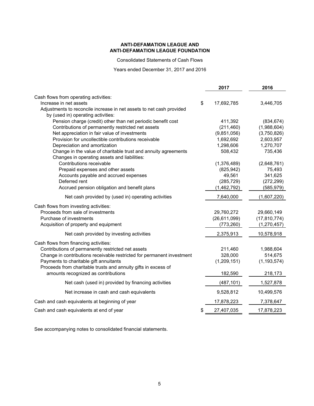Consolidated Statements of Cash Flows

Years ended December 31, 2017 and 2016

|                                                                                                                              | 2017               | 2016                 |
|------------------------------------------------------------------------------------------------------------------------------|--------------------|----------------------|
| Cash flows from operating activities:                                                                                        |                    |                      |
| Increase in net assets                                                                                                       | \$<br>17,692,785   | 3,446,705            |
| Adjustments to reconcile increase in net assets to net cash provided                                                         |                    |                      |
| by (used in) operating activities:                                                                                           |                    |                      |
| Pension charge (credit) other than net periodic benefit cost                                                                 | 411,392            | (834, 674)           |
| Contributions of permanently restricted net assets                                                                           | (211, 460)         | (1,988,604)          |
| Net appreciation in fair value of investments                                                                                | (9,851,056)        | (3,750,826)          |
| Provision for uncollectible contributions receivable                                                                         | 1,692,692          | 2,603,957            |
| Depreciation and amortization                                                                                                | 1,298,606          | 1,270,707            |
| Change in the value of charitable trust and annuity agreements                                                               | 508,432            | 735,436              |
| Changes in operating assets and liabilities:                                                                                 |                    |                      |
| Contributions receivable                                                                                                     | (1,376,489)        | (2,648,761)          |
| Prepaid expenses and other assets                                                                                            | (825, 942)         | 75,493               |
| Accounts payable and accrued expenses                                                                                        | 49,561             | 341,625              |
| Deferred rent                                                                                                                | (285, 729)         | (272, 299)           |
| Accrued pension obligation and benefit plans                                                                                 | (1,462,792)        | (585, 979)           |
| Net cash provided by (used in) operating activities                                                                          | 7,640,000          | (1,607,220)          |
| Cash flows from investing activities:                                                                                        |                    |                      |
| Proceeds from sale of investments                                                                                            | 29,760,272         | 29,660,149           |
| Purchase of investments                                                                                                      | (26, 611, 099)     | (17, 810, 774)       |
| Acquisition of property and equipment                                                                                        | (773, 260)         | (1, 270, 457)        |
| Net cash provided by investing activities                                                                                    | 2,375,913          | 10,578,918           |
|                                                                                                                              |                    |                      |
| Cash flows from financing activities:                                                                                        |                    |                      |
| Contributions of permanently restricted net assets<br>Change in contributions receivable restricted for permanent investment | 211,460<br>328,000 | 1,988,604<br>514,675 |
| Payments to charitable gift annuitants                                                                                       | (1,209,151)        | (1, 193, 574)        |
| Proceeds from charitable trusts and annuity gifts in excess of                                                               |                    |                      |
| amounts recognized as contributions                                                                                          | 182,590            | 218,173              |
|                                                                                                                              |                    |                      |
| Net cash (used in) provided by financing activities                                                                          | (487, 101)         | 1,527,878            |
| Net increase in cash and cash equivalents                                                                                    | 9,528,812          | 10,499,576           |
| Cash and cash equivalents at beginning of year                                                                               | 17,878,223         | 7,378,647            |
| Cash and cash equivalents at end of year                                                                                     | \$<br>27,407,035   | 17,878,223           |

See accompanying notes to consolidated financial statements.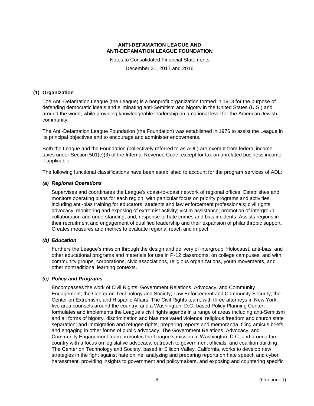Notes to Consolidated Financial Statements

December 31, 2017 and 2016

# **(1) Organization**

The Anti-Defamation League (the League) is a nonprofit organization formed in 1913 for the purpose of defending democratic ideals and eliminating anti-Semitism and bigotry in the United States (U.S.) and around the world, while providing knowledgeable leadership on a national level for the American Jewish community.

The Anti-Defamation League Foundation (the Foundation) was established in 1976 to assist the League in its principal objectives and to encourage and administer endowments.

Both the League and the Foundation (collectively referred to as ADL) are exempt from federal income taxes under Section 501(c)(3) of the Internal Revenue Code, except for tax on unrelated business income, if applicable.

The following functional classifications have been established to account for the program services of ADL:

# *(a) Regional Operations*

Supervises and coordinates the League's coast-to-coast network of regional offices. Establishes and monitors operating plans for each region, with particular focus on priority programs and activities, including anti-bias training for educators, students and law enforcement professionals; civil rights advocacy; monitoring and exposing of extremist activity; victim assistance; promotion of intergroup collaboration and understanding; and, response to hate crimes and bias incidents. Assists regions in their recruitment and engagement of qualified leadership and their expansion of philanthropic support. Creates measures and metrics to evaluate regional reach and impact.

# *(b) Education*

Furthers the League's mission through the design and delivery of intergroup, Holocaust, anti-bias, and other educational programs and materials for use in P-12 classrooms, on college campuses, and with community groups, corporations, civic associations, religious organizations, youth movements, and other nontraditional learning contexts.

# *(c) Policy and Programs*

Encompasses the work of Civil Rights; Government Relations, Advocacy, and Community Engagement; the Center on Technology and Society; Law Enforcement and Community Security; the Center on Extremism; and Hispanic Affairs. The Civil Rights team, with three attorneys in New York, five area counsels around the country, and a Washington, D.C.-based Policy Planning Center, formulates and implements the League's civil rights agenda in a range of areas including anti-Semitism and all forms of bigotry, discrimination and bias motivated violence; religious freedom and church state separation; and immigration and refugee rights, preparing reports and memoranda, filing amicus briefs, and engaging in other forms of public advocacy. The Government Relations, Advocacy, and Community Engagement team promotes the League's mission in Washington, D.C. and around the country with a focus on legislative advocacy, outreach to government officials, and coalition building. The Center on Technology and Society, based in Silicon Valley, California, works to develop new strategies in the fight against hate online, analyzing and preparing reports on hate speech and cyber harassment, providing insights to government and policymakers, and exposing and countering specific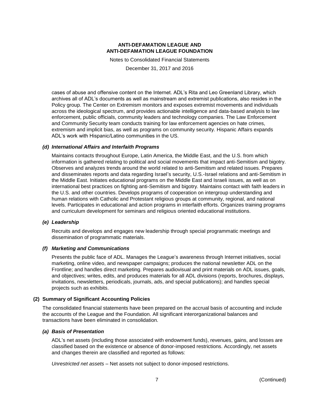Notes to Consolidated Financial Statements

December 31, 2017 and 2016

cases of abuse and offensive content on the Internet. ADL's Rita and Leo Greenland Library, which archives all of ADL's documents as well as mainstream and extremist publications, also resides in the Policy group. The Center on Extremism monitors and exposes extremist movements and individuals across the ideological spectrum, and provides actionable intelligence and data-based analysis to law enforcement, public officials, community leaders and technology companies. The Law Enforcement and Community Security team conducts training for law enforcement agencies on hate crimes, extremism and implicit bias, as well as programs on community security. Hispanic Affairs expands ADL's work with Hispanic/Latino communities in the US.

# *(d) International Affairs and Interfaith Programs*

Maintains contacts throughout Europe, Latin America, the Middle East, and the U.S. from which information is gathered relating to political and social movements that impact anti-Semitism and bigotry. Observes and analyzes trends around the world related to anti-Semitism and related issues. Prepares and disseminates reports and data regarding Israel's security, U.S.-Israel relations and anti-Semitism in the Middle East. Initiates educational programs on the Middle East and Israeli issues, as well as on international best practices on fighting anti-Semitism and bigotry. Maintains contact with faith leaders in the U.S. and other countries. Develops programs of cooperation on intergroup understanding and human relations with Catholic and Protestant religious groups at community, regional, and national levels. Participates in educational and action programs in interfaith efforts. Organizes training programs and curriculum development for seminars and religious oriented educational institutions.

# *(e) Leadership*

Recruits and develops and engages new leadership through special programmatic meetings and dissemination of programmatic materials.

# *(f) Marketing and Communications*

Presents the public face of ADL. Manages the League's awareness through Internet initiatives, social marketing, online video, and newspaper campaigns; produces the national newsletter ADL on the Frontline; and handles direct marketing. Prepares audiovisual and print materials on ADL issues, goals, and objectives; writes, edits, and produces materials for all ADL divisions (reports, brochures, displays, invitations, newsletters, periodicals, journals, ads, and special publications); and handles special projects such as exhibits.

# **(2) Summary of Significant Accounting Policies**

The consolidated financial statements have been prepared on the accrual basis of accounting and include the accounts of the League and the Foundation. All significant interorganizational balances and transactions have been eliminated in consolidation.

# *(a) Basis of Presentation*

ADL's net assets (including those associated with endowment funds), revenues, gains, and losses are classified based on the existence or absence of donor-imposed restrictions. Accordingly, net assets and changes therein are classified and reported as follows:

*Unrestricted net assets* – Net assets not subject to donor-imposed restrictions.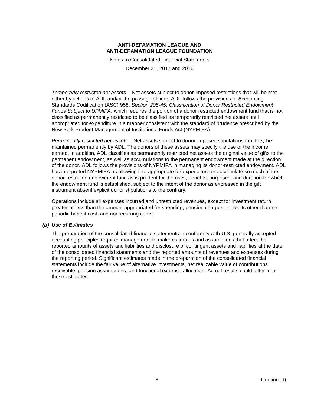Notes to Consolidated Financial Statements

December 31, 2017 and 2016

*Temporarily restricted net assets* – Net assets subject to donor-imposed restrictions that will be met either by actions of ADL and/or the passage of time. ADL follows the provisions of Accounting Standards Codification (ASC) 958, *Section 205-45*, *Classification of Donor Restricted Endowment Funds Subject to UPMIFA*, which requires the portion of a donor restricted endowment fund that is not classified as permanently restricted to be classified as temporarily restricted net assets until appropriated for expenditure in a manner consistent with the standard of prudence prescribed by the New York Prudent Management of Institutional Funds Act (NYPMIFA).

*Permanently restricted net assets* – Net assets subject to donor-imposed stipulations that they be maintained permanently by ADL. The donors of these assets may specify the use of the income earned. In addition, ADL classifies as permanently restricted net assets the original value of gifts to the permanent endowment, as well as accumulations to the permanent endowment made at the direction of the donor. ADL follows the provisions of NYPMIFA in managing its donor-restricted endowment. ADL has interpreted NYPMIFA as allowing it to appropriate for expenditure or accumulate so much of the donor-restricted endowment fund as is prudent for the uses, benefits, purposes, and duration for which the endowment fund is established, subject to the intent of the donor as expressed in the gift instrument absent explicit donor stipulations to the contrary.

Operations include all expenses incurred and unrestricted revenues, except for investment return greater or less than the amount appropriated for spending, pension charges or credits other than net periodic benefit cost, and nonrecurring items.

# *(b) Use of Estimates*

The preparation of the consolidated financial statements in conformity with U.S. generally accepted accounting principles requires management to make estimates and assumptions that affect the reported amounts of assets and liabilities and disclosure of contingent assets and liabilities at the date of the consolidated financial statements and the reported amounts of revenues and expenses during the reporting period. Significant estimates made in the preparation of the consolidated financial statements include the fair value of alternative investments, net realizable value of contributions receivable, pension assumptions, and functional expense allocation. Actual results could differ from those estimates.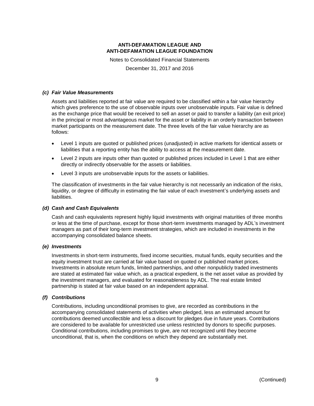Notes to Consolidated Financial Statements

December 31, 2017 and 2016

#### *(c) Fair Value Measurements*

Assets and liabilities reported at fair value are required to be classified within a fair value hierarchy which gives preference to the use of observable inputs over unobservable inputs. Fair value is defined as the exchange price that would be received to sell an asset or paid to transfer a liability (an exit price) in the principal or most advantageous market for the asset or liability in an orderly transaction between market participants on the measurement date. The three levels of the fair value hierarchy are as follows:

- Level 1 inputs are quoted or published prices (unadjusted) in active markets for identical assets or liabilities that a reporting entity has the ability to access at the measurement date.
- Level 2 inputs are inputs other than quoted or published prices included in Level 1 that are either directly or indirectly observable for the assets or liabilities.
- Level 3 inputs are unobservable inputs for the assets or liabilities.

The classification of investments in the fair value hierarchy is not necessarily an indication of the risks, liquidity, or degree of difficulty in estimating the fair value of each investment's underlying assets and liabilities.

# *(d) Cash and Cash Equivalents*

Cash and cash equivalents represent highly liquid investments with original maturities of three months or less at the time of purchase, except for those short-term investments managed by ADL's investment managers as part of their long-term investment strategies, which are included in investments in the accompanying consolidated balance sheets.

#### *(e) Investments*

Investments in short-term instruments, fixed income securities, mutual funds, equity securities and the equity investment trust are carried at fair value based on quoted or published market prices. Investments in absolute return funds, limited partnerships, and other nonpublicly traded investments are stated at estimated fair value which, as a practical expedient, is the net asset value as provided by the investment managers, and evaluated for reasonableness by ADL. The real estate limited partnership is stated at fair value based on an independent appraisal.

# *(f) Contributions*

Contributions, including unconditional promises to give, are recorded as contributions in the accompanying consolidated statements of activities when pledged, less an estimated amount for contributions deemed uncollectible and less a discount for pledges due in future years. Contributions are considered to be available for unrestricted use unless restricted by donors to specific purposes. Conditional contributions, including promises to give, are not recognized until they become unconditional, that is, when the conditions on which they depend are substantially met.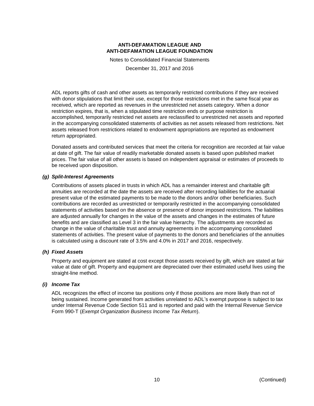Notes to Consolidated Financial Statements

December 31, 2017 and 2016

ADL reports gifts of cash and other assets as temporarily restricted contributions if they are received with donor stipulations that limit their use, except for those restrictions met in the same fiscal year as received, which are reported as revenues in the unrestricted net assets category. When a donor restriction expires, that is, when a stipulated time restriction ends or purpose restriction is accomplished, temporarily restricted net assets are reclassified to unrestricted net assets and reported in the accompanying consolidated statements of activities as net assets released from restrictions. Net assets released from restrictions related to endowment appropriations are reported as endowment return appropriated.

Donated assets and contributed services that meet the criteria for recognition are recorded at fair value at date of gift. The fair value of readily marketable donated assets is based upon published market prices. The fair value of all other assets is based on independent appraisal or estimates of proceeds to be received upon disposition.

# *(g) Split-Interest Agreements*

Contributions of assets placed in trusts in which ADL has a remainder interest and charitable gift annuities are recorded at the date the assets are received after recording liabilities for the actuarial present value of the estimated payments to be made to the donors and/or other beneficiaries. Such contributions are recorded as unrestricted or temporarily restricted in the accompanying consolidated statements of activities based on the absence or presence of donor imposed restrictions. The liabilities are adjusted annually for changes in the value of the assets and changes in the estimates of future benefits and are classified as Level 3 in the fair value hierarchy. The adjustments are recorded as change in the value of charitable trust and annuity agreements in the accompanying consolidated statements of activities. The present value of payments to the donors and beneficiaries of the annuities is calculated using a discount rate of 3.5% and 4.0% in 2017 and 2016, respectively.

# *(h) Fixed Assets*

Property and equipment are stated at cost except those assets received by gift, which are stated at fair value at date of gift. Property and equipment are depreciated over their estimated useful lives using the straight-line method.

# *(i) Income Tax*

ADL recognizes the effect of income tax positions only if those positions are more likely than not of being sustained. Income generated from activities unrelated to ADL's exempt purpose is subject to tax under Internal Revenue Code Section 511 and is reported and paid with the Internal Revenue Service Form 990-T (*Exempt Organization Business Income Tax Return*).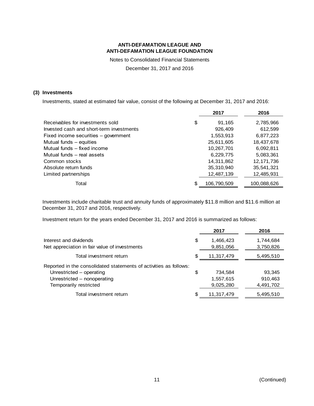Notes to Consolidated Financial Statements

December 31, 2017 and 2016

# **(3) Investments**

Investments, stated at estimated fair value, consist of the following at December 31, 2017 and 2016:

|                                          | 2017              | 2016         |
|------------------------------------------|-------------------|--------------|
| Receivables for investments sold         | \$<br>91,165      | 2,785,966    |
| Invested cash and short-term investments | 926,409           | 612,599      |
| Fixed income securities – government     | 1,553,913         | 6,877,223    |
| Mutual funds $-$ equities                | 25,611,605        | 18,437,678   |
| Mutual funds - fixed income              | 10,267,701        | 6,092,811    |
| Mutual funds - real assets               | 6,229,775         | 5,083,361    |
| Common stocks                            | 14,311,862        | 12, 171, 736 |
| Absolute return funds                    | 35,310,940        | 35,541,321   |
| Limited partnerships                     | 12,487,139        | 12,485,931   |
| Total                                    | \$<br>106,790,509 | 100,088,626  |

Investments include charitable trust and annuity funds of approximately \$11.8 million and \$11.6 million at December 31, 2017 and 2016, respectively.

Investment return for the years ended December 31, 2017 and 2016 is summarized as follows:

|                                                                                                                                                        |    | 2017                              | 2016                           |
|--------------------------------------------------------------------------------------------------------------------------------------------------------|----|-----------------------------------|--------------------------------|
| Interest and dividends<br>Net appreciation in fair value of investments                                                                                | \$ | 1,466,423<br>9,851,056            | 1,744,684<br>3,750,826         |
| Total investment return                                                                                                                                | S  | 11,317,479                        | 5,495,510                      |
| Reported in the consolidated statements of activities as follows:<br>Unrestricted – operating<br>Unrestricted - nonoperating<br>Temporarily restricted | \$ | 734,584<br>1,557,615<br>9,025,280 | 93,345<br>910,463<br>4,491,702 |
| Total investment return                                                                                                                                | S  | 11,317,479                        | 5,495,510                      |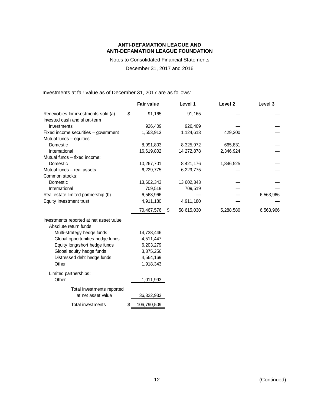Notes to Consolidated Financial Statements

December 31, 2017 and 2016

Investments at fair value as of December 31, 2017 are as follows:

|                                          | <b>Fair value</b> |   | Level 1    | Level <sub>2</sub> | Level 3   |
|------------------------------------------|-------------------|---|------------|--------------------|-----------|
| Receivables for investments sold (a)     | \$<br>91,165      |   | 91,165     |                    |           |
| Invested cash and short-term             |                   |   |            |                    |           |
| investments                              | 926,409           |   | 926,409    |                    |           |
| Fixed income securities - government     | 1,553,913         |   | 1,124,613  | 429,300            |           |
| Mutual funds - equities:                 |                   |   |            |                    |           |
| Domestic                                 | 8,991,803         |   | 8,325,972  | 665,831            |           |
| International                            | 16,619,802        |   | 14,272,878 | 2,346,924          |           |
| Mutual funds - fixed income:             |                   |   |            |                    |           |
| Domestic                                 | 10,267,701        |   | 8,421,176  | 1,846,525          |           |
| Mutual funds - real assets               | 6,229,775         |   | 6,229,775  |                    |           |
| Common stocks:                           |                   |   |            |                    |           |
| Domestic                                 | 13,602,343        |   | 13,602,343 |                    |           |
| International                            | 709,519           |   | 709,519    |                    |           |
| Real estate limited partnership (b)      | 6,563,966         |   |            |                    | 6,563,966 |
| Equity investment trust                  | 4,911,180         |   | 4,911,180  |                    |           |
|                                          | 70,467,576        | S | 58,615,030 | 5,288,580          | 6,563,966 |
| Investments reported at net asset value: |                   |   |            |                    |           |
| Absolute return funds:                   |                   |   |            |                    |           |
| Multi-strategy hedge funds               | 14,738,446        |   |            |                    |           |
| Global opportunities hedge funds         | 4,511,447         |   |            |                    |           |
| Equity long/short hedge funds            | 6,203,279         |   |            |                    |           |
| Global equity hedge funds                | 3,375,256         |   |            |                    |           |
| Distressed debt hedge funds              | 4,564,169         |   |            |                    |           |
| Other                                    | 1,918,343         |   |            |                    |           |
|                                          |                   |   |            |                    |           |
| Limited partnerships:                    |                   |   |            |                    |           |
| Other                                    | 1,011,993         |   |            |                    |           |
| Total investments reported               |                   |   |            |                    |           |
| at net asset value                       | 36,322,933        |   |            |                    |           |
| <b>Total investments</b>                 | \$<br>106,790,509 |   |            |                    |           |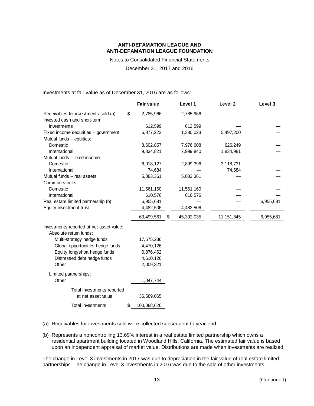Notes to Consolidated Financial Statements

December 31, 2017 and 2016

Investments at fair value as of December 31, 2016 are as follows:

|                                          | <b>Fair value</b> |   | Level 1    | Level 2      | Level 3   |
|------------------------------------------|-------------------|---|------------|--------------|-----------|
| Receivables for investments sold (a)     | \$<br>2,785,966   |   | 2,785,966  |              |           |
| Invested cash and short-term             |                   |   |            |              |           |
| investments                              | 612,599           |   | 612,599    |              |           |
| Fixed income securities - government     | 6,877,223         |   | 1,380,023  | 5,497,200    |           |
| Mutual funds - equities:                 |                   |   |            |              |           |
| Domestic                                 | 8,602,857         |   | 7,976,608  | 626,249      |           |
| International                            | 9,834,821         |   | 7,999,840  | 1,834,981    |           |
| Mutual funds - fixed income:             |                   |   |            |              |           |
| Domestic                                 | 6,018,127         |   | 2,899,396  | 3,118,731    |           |
| International                            | 74,684            |   |            | 74,684       |           |
| Mutual funds - real assets               | 5,083,361         |   | 5,083,361  |              |           |
| Common stocks:                           |                   |   |            |              |           |
| Domestic                                 | 11,561,160        |   | 11,561,160 |              |           |
| International                            | 610,576           |   | 610,576    |              |           |
| Real estate limited partnership (b)      | 6,955,681         |   |            |              | 6,955,681 |
| Equity investment trust                  | 4,482,506         |   | 4,482,506  |              |           |
|                                          | 63,499,561        | S | 45,392,035 | 11, 151, 845 | 6,955,681 |
| Investments reported at net asset value: |                   |   |            |              |           |
| Absolute return funds:                   |                   |   |            |              |           |
| Multi-strategy hedge funds               | 17,575,286        |   |            |              |           |
| Global opportunities hedge funds         | 4,470,126         |   |            |              |           |
| Equity long/short hedge funds            | 6,876,462         |   |            |              |           |
| Distressed debt hedge funds              | 4,610,126         |   |            |              |           |
| Other                                    | 2,009,321         |   |            |              |           |
| Limited partnerships:                    |                   |   |            |              |           |
| Other                                    | 1,047,744         |   |            |              |           |
| Total investments reported               |                   |   |            |              |           |
| at net asset value                       | 36,589,065        |   |            |              |           |
| <b>Total investments</b>                 | \$<br>100,088,626 |   |            |              |           |

- (a) Receivables for investments sold were collected subsequent to year-end.
- (b) Represents a noncontrolling 13.69% interest in a real estate limited partnership which owns a residential apartment building located in Woodland Hills, California. The estimated fair value is based upon an independent appraisal of market value. Distributions are made when investments are realized.

The change in Level 3 investments in 2017 was due to depreciation in the fair value of real estate limited partnerships. The change in Level 3 investments in 2016 was due to the sale of other investments.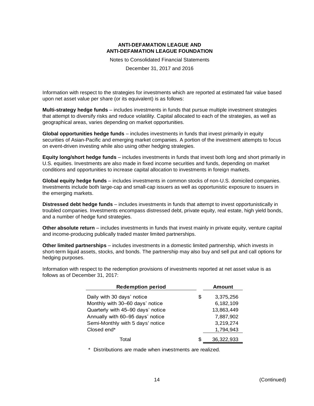Notes to Consolidated Financial Statements

December 31, 2017 and 2016

Information with respect to the strategies for investments which are reported at estimated fair value based upon net asset value per share (or its equivalent) is as follows:

**Multi-strategy hedge funds** – includes investments in funds that pursue multiple investment strategies that attempt to diversify risks and reduce volatility. Capital allocated to each of the strategies, as well as geographical areas, varies depending on market opportunities.

**Global opportunities hedge funds** – includes investments in funds that invest primarily in equity securities of Asian-Pacific and emerging market companies. A portion of the investment attempts to focus on event-driven investing while also using other hedging strategies.

**Equity long/short hedge funds** – includes investments in funds that invest both long and short primarily in U.S. equities. Investments are also made in fixed income securities and funds, depending on market conditions and opportunities to increase capital allocation to investments in foreign markets.

**Global equity hedge funds** – includes investments in common stocks of non-U.S. domiciled companies. Investments include both large-cap and small-cap issuers as well as opportunistic exposure to issuers in the emerging markets.

**Distressed debt hedge funds** – includes investments in funds that attempt to invest opportunistically in troubled companies. Investments encompass distressed debt, private equity, real estate, high yield bonds, and a number of hedge fund strategies.

**Other absolute return** – includes investments in funds that invest mainly in private equity, venture capital and income-producing publically traded master limited partnerships.

**Other limited partnerships** – includes investments in a domestic limited partnership, which invests in short-term liquid assets, stocks, and bonds. The partnership may also buy and sell put and call options for hedging purposes.

Information with respect to the redemption provisions of investments reported at net asset value is as follows as of December 31, 2017:

| <b>Redemption period</b>          |   | <b>Amount</b> |
|-----------------------------------|---|---------------|
| Daily with 30 days' notice        | S | 3,375,256     |
| Monthly with 30-60 days' notice   |   | 6,182,109     |
| Quarterly with 45-90 days' notice |   | 13,863,449    |
| Annually with 60-95 days' notice  |   | 7,887,902     |
| Semi-Monthly with 5 days' notice  |   | 3,219,274     |
| Closed end*                       |   | 1,794,943     |
| Total                             | S | 36,322,933    |

\* Distributions are made when investments are realized.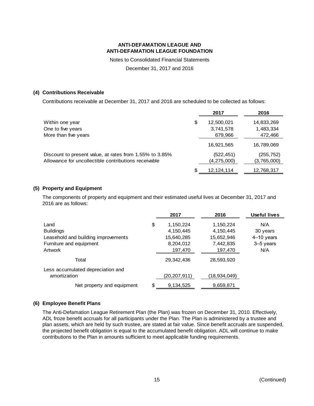Notes to Consolidated Financial Statements

December 31, 2017 and 2016

# **(4) Contributions Receivable**

Contributions receivable at December 31, 2017 and 2016 are scheduled to be collected as follows:

|                                                         | 2017             | 2016        |
|---------------------------------------------------------|------------------|-------------|
| Within one year                                         | \$<br>12,500,021 | 14,833,269  |
| One to five years                                       | 3,741,578        | 1,483,334   |
| More than five years                                    | 679,966          | 472,466     |
|                                                         | 16,921,565       | 16,789,069  |
| Discount to present value, at rates from 1.55% to 3.85% | (522, 451)       | (255, 752)  |
| Allowance for uncollectible contributions receivable    | (4, 275, 000)    | (3,765,000) |
|                                                         | 12,124,114       | 12,768,317  |

# **(5) Property and Equipment**

The components of property and equipment and their estimated useful lives at December 31, 2017 and 2016 are as follows:

|                                     | 2017            | 2016         | Useful lives |
|-------------------------------------|-----------------|--------------|--------------|
| Land                                | \$<br>1,150,224 | 1,150,224    | N/A          |
| <b>Buildings</b>                    | 4,150,445       | 4,150,445    | 30 years     |
| Leasehold and building improvements | 15,640,285      | 15,652,946   | $4-10$ years |
| Furniture and equipment             | 8,204,012       | 7,442,835    | 3-5 years    |
| Artwork                             | 197,470         | 197,470      | N/A          |
| Total                               | 29.342.436      | 28.593.920   |              |
| Less accumulated depreciation and   |                 |              |              |
| amortization                        | (20,207,911)    | (18,934,049) |              |
| Net property and equipment          | \$<br>9,134,525 | 9,659,871    |              |

# **(6) Employee Benefit Plans**

The Anti-Defamation League Retirement Plan (the Plan) was frozen on December 31, 2010. Effectively, ADL froze benefit accruals for all participants under the Plan. The Plan is administered by a trustee and plan assets, which are held by such trustee, are stated at fair value. Since benefit accruals are suspended, the projected benefit obligation is equal to the accumulated benefit obligation. ADL will continue to make contributions to the Plan in amounts sufficient to meet applicable funding requirements.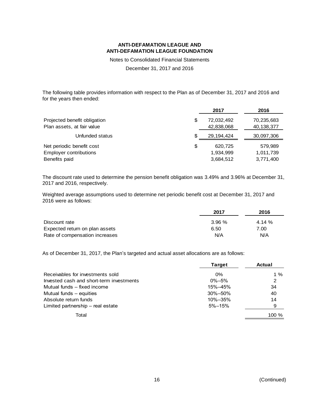Notes to Consolidated Financial Statements

December 31, 2017 and 2016

The following table provides information with respect to the Plan as of December 31, 2017 and 2016 and for the years then ended:

|                                                            | 2017                       | 2016                 |
|------------------------------------------------------------|----------------------------|----------------------|
| Projected benefit obligation                               | \$<br>72,032,492           | 70,235,683           |
| Plan assets, at fair value                                 | 42,838,068                 | 40,138,377           |
| Unfunded status                                            | 29, 194, 424               | 30,097,306           |
| Net periodic benefit cost<br><b>Employer contributions</b> | \$<br>620,725<br>1,934,999 | 579,989<br>1,011,739 |
| Benefits paid                                              | 3,684,512                  | 3,771,400            |

The discount rate used to determine the pension benefit obligation was 3.49% and 3.96% at December 31, 2017 and 2016, respectively.

Weighted average assumptions used to determine net periodic benefit cost at December 31, 2017 and 2016 were as follows:

|                                | 2017  | 2016     |
|--------------------------------|-------|----------|
| Discount rate                  | 3.96% | 4.14 $%$ |
| Expected return on plan assets | 6.50  | 7.00     |
| Rate of compensation increases | N/A   | N/A      |

As of December 31, 2017, the Plan's targeted and actual asset allocations are as follows:

|                                          | <b>Target</b> | Actual   |
|------------------------------------------|---------------|----------|
| Receivables for investments sold         | $0\%$         | 1 %      |
| Invested cash and short-term investments | $0\% - 5\%$   | 2        |
| Mutual funds – fixed income              | 15%-45%       | 34       |
| Mutual funds $-$ equities                | $30\% - 50\%$ | 40       |
| Absolute return funds                    | 10%-35%       | 14       |
| Limited partnership – real estate        | $5% - 15%$    | 9        |
| Total                                    |               | $100 \%$ |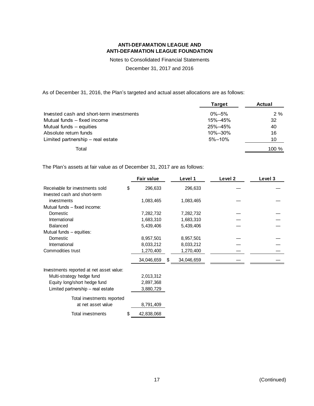Notes to Consolidated Financial Statements

December 31, 2017 and 2016

As of December 31, 2016, the Plan's targeted and actual asset allocations are as follows:

|                                          | <b>Target</b> | <b>Actual</b> |
|------------------------------------------|---------------|---------------|
| Invested cash and short-term investments | $0\% - 5\%$   | 2%            |
| Mutual funds – fixed income              | 15%-45%       | 32            |
| Mutual funds - equities                  | 25%-45%       | 40            |
| Absolute return funds                    | 10%-30%       | 16            |
| Limited partnership - real estate        | $5\% - 10\%$  | 10            |
| Total                                    |               | 100 $%$       |

The Plan's assets at fair value as of December 31, 2017 are as follows:

|                                          | <b>Fair value</b> |     | Level 1    | Level 2 | Level 3 |
|------------------------------------------|-------------------|-----|------------|---------|---------|
| Receivable for investments sold          | \$<br>296,633     |     | 296,633    |         |         |
| Invested cash and short-term             |                   |     |            |         |         |
| investments                              | 1,083,465         |     | 1,083,465  |         |         |
| Mutual funds - fixed income:             |                   |     |            |         |         |
| Domestic                                 | 7,282,732         |     | 7,282,732  |         |         |
| International                            | 1,683,310         |     | 1,683,310  |         |         |
| <b>Balanced</b>                          | 5,439,406         |     | 5,439,406  |         |         |
| Mutual funds - equities:                 |                   |     |            |         |         |
| Domestic                                 | 8,957,501         |     | 8,957,501  |         |         |
| International                            | 8,033,212         |     | 8,033,212  |         |         |
| Commodities trust                        | 1,270,400         |     | 1,270,400  |         |         |
|                                          | 34,046,659        | SS. | 34,046,659 |         |         |
| Investments reported at net asset value: |                   |     |            |         |         |
| Multi-strategy hedge fund                | 2,013,312         |     |            |         |         |
| Equity long/short hedge fund             | 2,897,368         |     |            |         |         |
| Limited partnership - real estate        | 3,880,729         |     |            |         |         |
| Total investments reported               |                   |     |            |         |         |
| at net asset value                       | 8,791,409         |     |            |         |         |
| Total investments                        | \$<br>42,838,068  |     |            |         |         |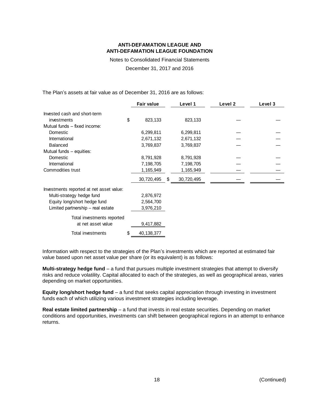Notes to Consolidated Financial Statements

December 31, 2017 and 2016

The Plan's assets at fair value as of December 31, 2016 are as follows:

|                                          | <b>Fair value</b> |   | Level 1    | Level 2 | Level 3 |
|------------------------------------------|-------------------|---|------------|---------|---------|
| Invested cash and short-term             |                   |   |            |         |         |
| investments                              | \$<br>823,133     |   | 823,133    |         |         |
| Mutual funds - fixed income:             |                   |   |            |         |         |
| Domestic                                 | 6,299,811         |   | 6,299,811  |         |         |
| International                            | 2,671,132         |   | 2,671,132  |         |         |
| <b>Balanced</b>                          | 3,769,837         |   | 3,769,837  |         |         |
| Mutual funds - equities:                 |                   |   |            |         |         |
| Domestic                                 | 8,791,928         |   | 8,791,928  |         |         |
| International                            | 7,198,705         |   | 7,198,705  |         |         |
| Commodities trust                        | 1,165,949         |   | 1,165,949  |         |         |
|                                          | 30,720,495        | S | 30,720,495 |         |         |
| Investments reported at net asset value: |                   |   |            |         |         |
| Multi-strategy hedge fund                | 2,876,972         |   |            |         |         |
| Equity long/short hedge fund             | 2,564,700         |   |            |         |         |
| Limited partnership - real estate        | 3,976,210         |   |            |         |         |
| Total investments reported               |                   |   |            |         |         |
| at net asset value                       | 9,417,882         |   |            |         |         |
| Total investments                        | \$<br>40,138,377  |   |            |         |         |

Information with respect to the strategies of the Plan's investments which are reported at estimated fair value based upon net asset value per share (or its equivalent) is as follows:

**Multi-strategy hedge fund** – a fund that pursues multiple investment strategies that attempt to diversify risks and reduce volatility. Capital allocated to each of the strategies, as well as geographical areas, varies depending on market opportunities.

**Equity long/short hedge fund** – a fund that seeks capital appreciation through investing in investment funds each of which utilizing various investment strategies including leverage.

**Real estate limited partnership** – a fund that invests in real estate securities. Depending on market conditions and opportunities, investments can shift between geographical regions in an attempt to enhance returns.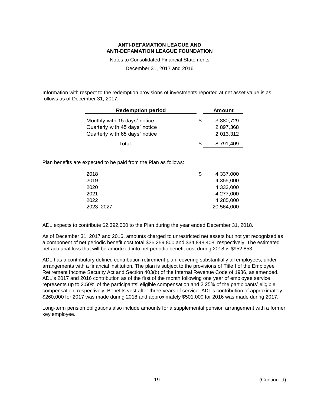Notes to Consolidated Financial Statements

December 31, 2017 and 2016

Information with respect to the redemption provisions of investments reported at net asset value is as follows as of December 31, 2017:

| <b>Redemption period</b>                                       |    | Amount                 |
|----------------------------------------------------------------|----|------------------------|
| Monthly with 15 days' notice<br>Quarterly with 45 days' notice | \$ | 3,880,729<br>2,897,368 |
| Quarterly with 65 days' notice                                 |    | 2,013,312              |
| Total                                                          | S  | 8.791.409              |

Plan benefits are expected to be paid from the Plan as follows:

| \$<br>4,337,000 |
|-----------------|
| 4,355,000       |
| 4,333,000       |
| 4,277,000       |
| 4,285,000       |
| 20,564,000      |
|                 |

ADL expects to contribute \$2,392,000 to the Plan during the year ended December 31, 2018.

As of December 31, 2017 and 2016, amounts charged to unrestricted net assets but not yet recognized as a component of net periodic benefit cost total \$35,259,800 and \$34,848,408, respectively. The estimated net actuarial loss that will be amortized into net periodic benefit cost during 2018 is \$952,853.

ADL has a contributory defined contribution retirement plan, covering substantially all employees, under arrangements with a financial institution. The plan is subject to the provisions of Title I of the Employee Retirement Income Security Act and Section 403(b) of the Internal Revenue Code of 1986, as amended. ADL's 2017 and 2016 contribution as of the first of the month following one year of employee service represents up to 2.50% of the participants' eligible compensation and 2.25% of the participants' eligible compensation, respectively. Benefits vest after three years of service. ADL's contribution of approximately \$260,000 for 2017 was made during 2018 and approximately \$501,000 for 2016 was made during 2017.

Long-term pension obligations also include amounts for a supplemental pension arrangement with a former key employee.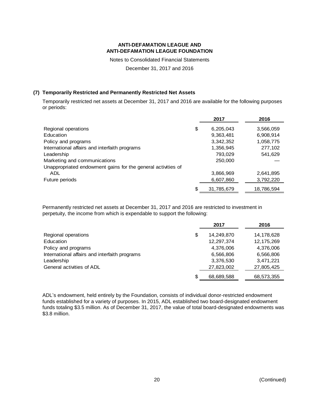Notes to Consolidated Financial Statements

December 31, 2017 and 2016

# **(7) Temporarily Restricted and Permanently Restricted Net Assets**

Temporarily restricted net assets at December 31, 2017 and 2016 are available for the following purposes or periods:

|                                                              | 2017             | 2016       |
|--------------------------------------------------------------|------------------|------------|
| Regional operations                                          | \$<br>6,205,043  | 3,566,059  |
| Education                                                    | 9,363,481        | 6,908,914  |
| Policy and programs                                          | 3,342,352        | 1,058,775  |
| International affairs and interfaith programs                | 1,356,945        | 277,102    |
| Leadership                                                   | 793,029          | 541,629    |
| Marketing and communications                                 | 250,000          |            |
| Unappropriated endowment gains for the general activities of |                  |            |
| ADL                                                          | 3,866,969        | 2,641,895  |
| Future periods                                               | 6,607,860        | 3,792,220  |
|                                                              | \$<br>31,785,679 | 18,786,594 |

Permanently restricted net assets at December 31, 2017 and 2016 are restricted to investment in perpetuity, the income from which is expendable to support the following:

|                                               | 2017             | 2016         |
|-----------------------------------------------|------------------|--------------|
| Regional operations                           | \$<br>14,249,870 | 14,178,628   |
| Education                                     | 12,297,374       | 12, 175, 269 |
| Policy and programs                           | 4,376,006        | 4,376,006    |
| International affairs and interfaith programs | 6,566,806        | 6,566,806    |
| Leadership                                    | 3,376,530        | 3,471,221    |
| General activities of ADL                     | 27,823,002       | 27,805,425   |
|                                               | \$<br>68,689,588 | 68,573,355   |

ADL's endowment, held entirely by the Foundation, consists of individual donor-restricted endowment funds established for a variety of purposes. In 2015, ADL established two board-designated endowment funds totaling \$3.5 million. As of December 31, 2017, the value of total board-designated endowments was \$3.8 million.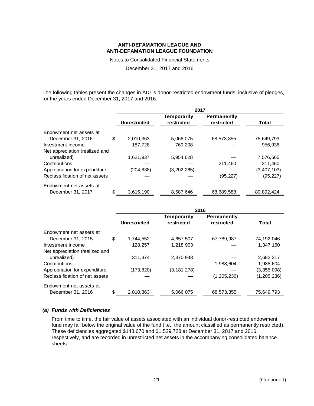Notes to Consolidated Financial Statements

December 31, 2017 and 2016

The following tables present the changes in ADL's donor-restricted endowment funds, inclusive of pledges, for the years ended December 31, 2017 and 2016:

|                                | 2017            |             |                    |             |  |  |
|--------------------------------|-----------------|-------------|--------------------|-------------|--|--|
|                                |                 | Temporarily | <b>Permanently</b> |             |  |  |
|                                | Unrestricted    | restricted  | restricted         | Total       |  |  |
| Endowment net assets at        |                 |             |                    |             |  |  |
| December 31, 2016              | \$<br>2.010.363 | 5,066,075   | 68,573,355         | 75,649,793  |  |  |
| Investment income              | 187,728         | 769.208     |                    | 956.936     |  |  |
| Net appreciation (realized and |                 |             |                    |             |  |  |
| unrealized)                    | 1,621,937       | 5,954,628   |                    | 7,576,565   |  |  |
| Contributions                  |                 |             | 211.460            | 211.460     |  |  |
| Appropriation for expenditure  | (204, 838)      | (3,202,265) |                    | (3,407,103) |  |  |
| Reclassification of net assets |                 |             | (95,227)           | (95, 227)   |  |  |
| Endowment net assets at        |                 |             |                    |             |  |  |
| December 31, 2017              | \$<br>3,615,190 | 8,587,646   | 68,689,588         | 80,892,424  |  |  |

|                                | 2016            |                           |                                  |             |  |  |
|--------------------------------|-----------------|---------------------------|----------------------------------|-------------|--|--|
|                                | Unrestricted    | Temporarily<br>restricted | <b>Permanently</b><br>restricted | Total       |  |  |
| Endowment net assets at        |                 |                           |                                  |             |  |  |
| December 31, 2015              | \$<br>1,744,552 | 4,657,507                 | 67,789,987                       | 74,192,046  |  |  |
| Investment income              | 128,257         | 1,218,903                 |                                  | 1,347,160   |  |  |
| Net appreciation (realized and |                 |                           |                                  |             |  |  |
| unrealized)                    | 311,374         | 2.370.943                 |                                  | 2,682,317   |  |  |
| Contributions                  |                 |                           | 1,988,604                        | 1,988,604   |  |  |
| Appropriation for expenditure  | (173, 820)      | (3, 181, 278)             |                                  | (3,355,098) |  |  |
| Reclassification of net assets |                 |                           | (1,205,236)                      | (1,205,236) |  |  |
| Endowment net assets at        |                 |                           |                                  |             |  |  |
| December 31, 2016              | \$<br>2,010,363 | 5,066,075                 | 68,573,355                       | 75,649,793  |  |  |

#### *(a) Funds with Deficiencies*

From time to time, the fair value of assets associated with an individual donor-restricted endowment fund may fall below the original value of the fund (i.e., the amount classified as permanently restricted). These deficiencies aggregated \$148,670 and \$1,529,728 at December 31, 2017 and 2016, respectively, and are recorded in unrestricted net assets in the accompanying consolidated balance sheets.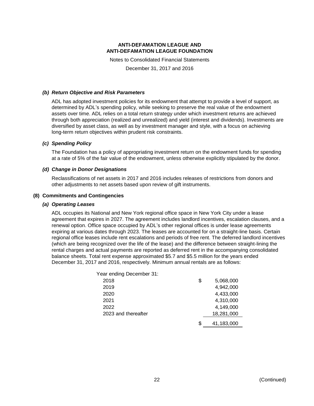Notes to Consolidated Financial Statements

December 31, 2017 and 2016

#### *(b) Return Objective and Risk Parameters*

ADL has adopted investment policies for its endowment that attempt to provide a level of support, as determined by ADL's spending policy, while seeking to preserve the real value of the endowment assets over time. ADL relies on a total return strategy under which investment returns are achieved through both appreciation (realized and unrealized) and yield (interest and dividends). Investments are diversified by asset class, as well as by investment manager and style, with a focus on achieving long-term return objectives within prudent risk constraints.

#### *(c) Spending Policy*

The Foundation has a policy of appropriating investment return on the endowment funds for spending at a rate of 5% of the fair value of the endowment, unless otherwise explicitly stipulated by the donor.

#### *(d) Change in Donor Designations*

Reclassifications of net assets in 2017 and 2016 includes releases of restrictions from donors and other adjustments to net assets based upon review of gift instruments.

#### **(8) Commitments and Contingencies**

#### *(a) Operating Leases*

ADL occupies its National and New York regional office space in New York City under a lease agreement that expires in 2027. The agreement includes landlord incentives, escalation clauses, and a renewal option. Office space occupied by ADL's other regional offices is under lease agreements expiring at various dates through 2023. The leases are accounted for on a straight-line basis. Certain regional office leases include rent escalations and periods of free rent. The deferred landlord incentives (which are being recognized over the life of the lease) and the difference between straight-lining the rental charges and actual payments are reported as deferred rent in the accompanying consolidated balance sheets. Total rent expense approximated \$5.7 and \$5.5 million for the years ended December 31, 2017 and 2016, respectively. Minimum annual rentals are as follows:

| Year ending December 31: |                 |
|--------------------------|-----------------|
| 2018                     | \$<br>5,068,000 |
| 2019                     | 4,942,000       |
| 2020                     | 4,433,000       |
| 2021                     | 4,310,000       |
| 2022                     | 4,149,000       |
| 2023 and thereafter      | 18,281,000      |
|                          | 41,183,000      |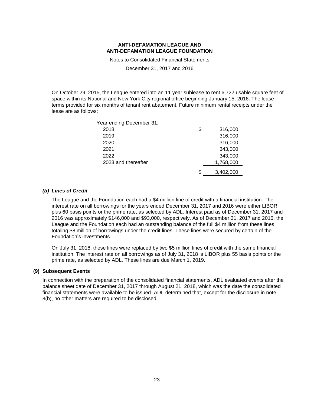Notes to Consolidated Financial Statements

December 31, 2017 and 2016

On October 29, 2015, the League entered into an 11 year sublease to rent 6,722 usable square feet of space within its National and New York City regional office beginning January 15, 2016. The lease terms provided for six months of tenant rent abatement. Future minimum rental receipts under the lease are as follows:

| Year ending December 31: |    |           |
|--------------------------|----|-----------|
| 2018                     | \$ | 316,000   |
| 2019                     |    | 316,000   |
| 2020                     |    | 316,000   |
| 2021                     |    | 343,000   |
| 2022                     |    | 343,000   |
| 2023 and thereafter      |    | 1,768,000 |
|                          | S  | 3,402,000 |

# *(b) Lines of Credit*

The League and the Foundation each had a \$4 million line of credit with a financial institution. The interest rate on all borrowings for the years ended December 31, 2017 and 2016 were either LIBOR plus 60 basis points or the prime rate, as selected by ADL. Interest paid as of December 31, 2017 and 2016 was approximately \$146,000 and \$93,000, respectively. As of December 31, 2017 and 2016, the League and the Foundation each had an outstanding balance of the full \$4 million from these lines totaling \$8 million of borrowings under the credit lines. These lines were secured by certain of the Foundation's investments.

On July 31, 2018, these lines were replaced by two \$5 million lines of credit with the same financial institution. The interest rate on all borrowings as of July 31, 2018 is LIBOR plus 55 basis points or the prime rate, as selected by ADL. These lines are due March 1, 2019.

#### **(9) Subsequent Events**

In connection with the preparation of the consolidated financial statements, ADL evaluated events after the balance sheet date of December 31, 2017 through August 21, 2018, which was the date the consolidated financial statements were available to be issued. ADL determined that, except for the disclosure in note 8(b), no other matters are required to be disclosed.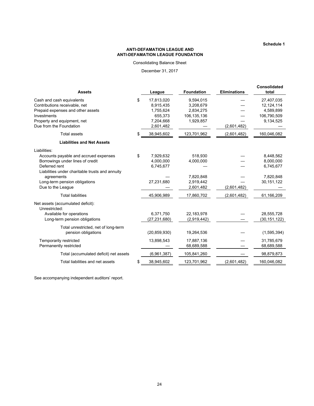**Schedule 1**

#### **ANTI-DEFAMATION LEAGUE AND ANTI-DEFAMATION LEAGUE FOUNDATION**

Consolidating Balance Sheet

December 31, 2017

| \$<br>17,813,020<br>9,594,015<br>Cash and cash equivalents<br>Contributions receivable, net<br>8,915,435<br>3,208,679<br>Prepaid expenses and other assets<br>1,755,624<br>2,834,275<br>106, 135, 136<br>Investments<br>655,373 | 27,407,035<br>12,124,114 |  |
|---------------------------------------------------------------------------------------------------------------------------------------------------------------------------------------------------------------------------------|--------------------------|--|
|                                                                                                                                                                                                                                 |                          |  |
|                                                                                                                                                                                                                                 |                          |  |
|                                                                                                                                                                                                                                 | 4,589,899                |  |
|                                                                                                                                                                                                                                 | 106,790,509              |  |
| Property and equipment, net<br>7,204,668<br>1,929,857                                                                                                                                                                           | 9,134,525                |  |
| Due from the Foundation<br>2,601,482<br>(2,601,482)                                                                                                                                                                             |                          |  |
| <b>Total assets</b><br>\$<br>38,945,602<br>123,701,962<br>(2,601,482)                                                                                                                                                           | 160,046,082              |  |
| <b>Liabilities and Net Assets</b>                                                                                                                                                                                               |                          |  |
| Liabilities:                                                                                                                                                                                                                    |                          |  |
| \$<br>Accounts payable and accrued expenses<br>7,929,632<br>518,930                                                                                                                                                             | 8,448,562                |  |
| Borrowings under lines of credit<br>4,000,000<br>4,000,000                                                                                                                                                                      | 8,000,000                |  |
| Deferred rent<br>6,745,677                                                                                                                                                                                                      | 6,745,677                |  |
| Liabilities under charitable trusts and annuity                                                                                                                                                                                 |                          |  |
| 7,820,848<br>agreements                                                                                                                                                                                                         | 7,820,848                |  |
| 27,231,680<br>Long-term pension obligations<br>2,919,442                                                                                                                                                                        | 30, 151, 122             |  |
| Due to the League<br>2,601,482<br>(2,601,482)                                                                                                                                                                                   |                          |  |
| <b>Total liabilities</b><br>45,906,989<br>17,860,702<br>(2,601,482)                                                                                                                                                             | 61,166,209               |  |
| Net assets (accumulated deficit):<br>Unrestricted:                                                                                                                                                                              |                          |  |
| 6,371,750<br>Available for operations<br>22,183,978                                                                                                                                                                             | 28,555,728               |  |
| Long-term pension obligations<br>(27, 231, 680)<br>(2,919,442)                                                                                                                                                                  | (30, 151, 122)           |  |
| Total unrestricted, net of long-term                                                                                                                                                                                            |                          |  |
| pension obligations<br>(20, 859, 930)<br>19,264,536                                                                                                                                                                             | (1,595,394)              |  |
| Temporarily restricted<br>13,898,543<br>17,887,136                                                                                                                                                                              | 31,785,679               |  |
| Permanently restricted<br>68,689,588                                                                                                                                                                                            | 68,689,588               |  |
| Total (accumulated deficit) net assets<br>(6,961,387)<br>105,841,260                                                                                                                                                            | 98,879,873               |  |
| Total liabilities and net assets<br>\$<br>38,945,602<br>123,701,962<br>(2,601,482)                                                                                                                                              | 160,046,082              |  |

See accompanying independent auditors' report.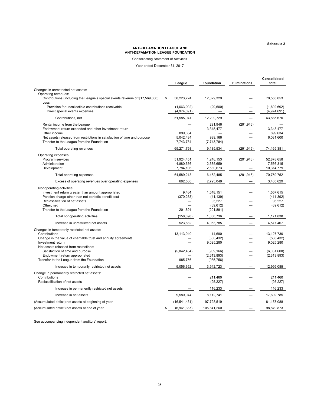**Schedule 2**

#### **ANTI-DEFAMATION LEAGUE AND ANTI-DEFAMATION LEAGUE FOUNDATION**

Consolidating Statement of Activities

Year ended December 31, 2017

|                                                                                                                                                                                                                                     | League                               | <b>Foundation</b>                                           | <b>Eliminations</b> | Consolidated<br>total                          |
|-------------------------------------------------------------------------------------------------------------------------------------------------------------------------------------------------------------------------------------|--------------------------------------|-------------------------------------------------------------|---------------------|------------------------------------------------|
| Changes in unrestricted net assets:                                                                                                                                                                                                 |                                      |                                                             |                     |                                                |
| Operating revenues:<br>Contributions (including the League's special events revenue of \$17,569,000)<br>Less:                                                                                                                       | \$<br>58,223,724                     | 12,329,329                                                  |                     | 70,553,053                                     |
| Provision for uncollectible contributions receivable<br>Direct special events expenses                                                                                                                                              | (1,663,092)<br>(4,974,691)           | (29,600)                                                    |                     | (1,692,692)<br>(4,974,691)                     |
| Contributions, net                                                                                                                                                                                                                  | 51,585,941                           | 12,299,729                                                  |                     | 63,885,670                                     |
| Rental income from the League<br>Endowment return expended and other investment return<br>Other income<br>Net assets released from restrictions in satisfaction of time and purpose<br>Transfer to the League from the Foundation   | 899.634<br>5,042,434<br>7,743,784    | 291.946<br>3,348,477<br>989,166<br>(7,743,784)              | (291, 946)          | 3,348,477<br>899,634<br>6,031,600              |
| Total operating revenues                                                                                                                                                                                                            | 65,271,793                           | 9,185,534                                                   | (291, 946)          | 74,165,381                                     |
| Operating expenses:<br>Program services<br>Administration<br>Development                                                                                                                                                            | 51,924,451<br>4,880,656<br>7,784,106 | 1.246.153<br>2,685,659<br>2,530,673                         | (291, 946)          | 52.878.658<br>7,566,315<br>10,314,779          |
| Total operating expenses                                                                                                                                                                                                            | 64,589,213                           | 6,462,485                                                   | (291, 946)          | 70,759,752                                     |
| Excess of operating revenues over operating expenses                                                                                                                                                                                | 682,580                              | 2,723,049                                                   |                     | 3,405,629                                      |
| Nonoperating activities:<br>Investment return greater than amount appropriated<br>Pension charge other than net periodic benefit cost<br>Reclassification of net assets<br>Other, net<br>Transfer to the League from the Foundation | 9,464<br>(370, 253)<br>201,891       | 1,548,151<br>(41, 139)<br>95,227<br>(69, 612)<br>(201, 891) |                     | 1,557,615<br>(411, 392)<br>95,227<br>(69, 612) |
| Total nonoperating activities                                                                                                                                                                                                       | (158, 898)                           | 1,330,736                                                   |                     | 1,171,838                                      |
| Increase in unrestricted net assets                                                                                                                                                                                                 | 523,682                              | 4,053,785                                                   |                     | 4,577,467                                      |
| Changes in temporarily restricted net assets:<br>Contributions<br>Change in the value of charitable trust and annuity agreements<br>Investment return<br>Net assets released from restrictions:                                     | 13,113,040                           | 14,690<br>(508, 432)<br>9,025,280                           |                     | 13,127,730<br>(508, 432)<br>9,025,280          |
| Satisfaction of time and purpose<br>Endowment return appropriated<br>Transfer to the League from the Foundation                                                                                                                     | (5,042,434)<br>985,756               | (989, 166)<br>(2,613,893)<br>(985, 756)                     |                     | (6,031,600)<br>(2,613,893)                     |
| Increase in temporarily restricted net assets                                                                                                                                                                                       | 9,056,362                            | 3,942,723                                                   |                     | 12,999,085                                     |
| Change in permanently restricted net assets:<br>Contributions<br>Reclassification of net assets                                                                                                                                     |                                      | 211,460<br>(95, 227)                                        |                     | 211,460<br>(95, 227)                           |
| Increase in permanently restricted net assets                                                                                                                                                                                       |                                      | 116,233                                                     |                     | 116,233                                        |
| Increase in net assets                                                                                                                                                                                                              | 9,580,044                            | 8,112,741                                                   |                     | 17,692,785                                     |
| (Accumulated deficit) net assets at beginning of year                                                                                                                                                                               | (16, 541, 431)                       | 97,728,519                                                  |                     | 81,187,088                                     |
| (Accumulated deficit) net assets at end of year                                                                                                                                                                                     | \$<br>(6,961,387)                    | 105,841,260                                                 |                     | 98,879,873                                     |

See accompanying independent auditors' report.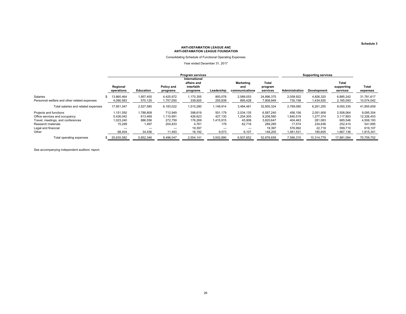#### Consolidating Schedule of Functional Operating Expenses

Year ended December 31, 2017

|                                              | <b>Program services</b> |           |                        |                                                        |            |                                    |                              | <b>Supporting services</b> |             |                                        |                   |
|----------------------------------------------|-------------------------|-----------|------------------------|--------------------------------------------------------|------------|------------------------------------|------------------------------|----------------------------|-------------|----------------------------------------|-------------------|
|                                              | Regional<br>operations  | Education | Policy and<br>programs | International<br>affairs and<br>interfaith<br>programs | Leadership | Marketing<br>and<br>communications | Total<br>program<br>services | Administration             | Development | <b>Total</b><br>supporting<br>services | Total<br>expenses |
| Salaries                                     | 13.860.464              | 1.957.455 | 4,425,972              | 1,170,355                                              | 893,076    | 2,589,053                          | 24,896,375                   | 2,058,922                  | 4.826.320   | 6,885,242                              | 31,781,617        |
| Personnel welfare and other related expenses | 4,090,583               | 570,125   | 1,757,050              | 339,925                                                | 255,838    | 895,428                            | 7,908,949                    | 730,158                    | 1,434,935   | 2,165,093                              | 10,074,042        |
| Total salaries and related expenses          | 17,951,047              | 2,527,580 | 6,183,022              | 1,510,280                                              | 1,148,914  | 3,484,481                          | 32,805,324                   | 2,789,080                  | 6.261.255   | 9,050,335                              | 41,855,659        |
| Projects and functions                       | ,151,550                | 1,788,808 | 712,949                | 398,619                                                | 501,179    | 2,034,135                          | 6,587,240                    | 456,156                    | 2,051,908   | 2,508,064                              | 9,095,304         |
| Office services and occupancy                | 5,426,042               | 613.469   | 1.110.991              | 426,623                                                | 427.130    | 1,204,305                          | 9,208,560                    | 1,840,519                  | 1.277.374   | 3,117,893                              | 12,326,453        |
| Travel, meetings, and conferences            | 1,023,240               | 886.556   | 272.759                | 176,269                                                | 1,415,915  | 45,908                             | 3,820,647                    | 404.463                    | 281.083     | 685,546                                | 4,506,193         |
| Research materials                           | 15,299                  | 1.497     | 204,833                | 4.761                                                  | 179        | 62,716                             | 289,285                      | 17.574                     | 234,836     | 252,410                                | 541,695           |
| Legal and financial                          | –                       | —         | -                      | 19,397                                                 | –          | $\overline{\phantom{0}}$           | 19,397                       | 576.992                    | 22.718      | 599,710                                | 619,107           |
| Other                                        | 68,404                  | 34,436    | 11,493                 | 18,192                                                 | 9,573      | 6,107                              | 148,205                      | 1,481,531                  | 185,605     | 1,667,136                              | 1,815,341         |
| Total operating expenses                     | 25.635.582              | 5.852.346 | 8.496.047              | 2.554.141                                              | 3.502.890  | 6.837.652                          | 52.878.658                   | 7.566.315                  | 10.314.779  | 17.881.094                             | 70.759.752        |

See accompanying independent auditors' report.

**Schedule 3**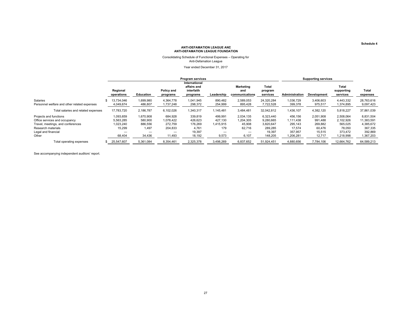#### Consolidating Schedule of Functional Expenses – Operating for Anti-Defamation League

Year ended December 31, 2017

|                                                                                                                                                    |                                                         | <b>Program services</b>                                 |                                                      |                                                            |                                                      |                                                          |                                                                     |                                                                   | <b>Supporting services</b>                                    |                                                                     |                                                                         |
|----------------------------------------------------------------------------------------------------------------------------------------------------|---------------------------------------------------------|---------------------------------------------------------|------------------------------------------------------|------------------------------------------------------------|------------------------------------------------------|----------------------------------------------------------|---------------------------------------------------------------------|-------------------------------------------------------------------|---------------------------------------------------------------|---------------------------------------------------------------------|-------------------------------------------------------------------------|
|                                                                                                                                                    | Regional<br>operations                                  | <b>Education</b>                                        | Policy and<br>programs                               | International<br>affairs and<br>interfaith<br>programs     | Leadership                                           | Marketing<br>and<br>communications                       | Total<br>program<br>services                                        | Administration                                                    | Development                                                   | Total<br>supporting<br>services                                     | Total<br>expenses                                                       |
| Salaries<br>Personnel welfare and other related expenses                                                                                           | 13.734.046<br>4,049,674                                 | 1,699,980<br>486,807                                    | 4,364,778<br>1,737,248                               | 1,041,945<br>298,372                                       | 890,482<br>254,999                                   | 2,589,053<br>895,428                                     | 24,320,284<br>7,722,528                                             | 1.036.729<br>399,378                                              | 3,406,603<br>975,517                                          | 4,443,332<br>1,374,895                                              | 28,763,616<br>9,097,423                                                 |
| Total salaries and related expenses                                                                                                                | 17,783,720                                              | 2,186,787                                               | 6,102,026                                            | 1,340,317                                                  | 1,145,481                                            | 3,484,481                                                | 32,042,812                                                          | 1,436,107                                                         | 4,382,120                                                     | 5,818,227                                                           | 37,861,039                                                              |
| Projects and functions<br>Office services and occupancy<br>Travel, meetings, and conferences<br>Research materials<br>Legal and financial<br>Other | 1,093,659<br>5,563,285<br>1,023,240<br>15,299<br>68,404 | 1,670,908<br>580,900<br>886,556<br>1,497<br>–<br>34,436 | 684.928<br>1,078,422<br>272,759<br>204,833<br>11,493 | 339,819<br>426,623<br>176,269<br>4.761<br>19,397<br>18,192 | 499,991<br>427,130<br>1,415,915<br>179<br>-<br>9,573 | 2,034,135<br>1,204,305<br>45,908<br>62,716<br>–<br>6,107 | 6.323.440<br>9,280,665<br>3,820,647<br>289,285<br>19,397<br>148,205 | 456.156<br>1,111,438<br>295,143<br>17.574<br>357.957<br>1,206,281 | 2,051,908<br>991,488<br>269,882<br>60.476<br>15,515<br>12,717 | 2,508,064<br>2,102,926<br>565,025<br>78,050<br>373,472<br>1,218,998 | 8,831,504<br>11,383,591<br>4,385,672<br>367,335<br>392,869<br>1,367,203 |
| Total operating expenses                                                                                                                           | 25,547,607                                              | 5.361.084                                               | 8,354,461                                            | 2,325,378                                                  | 3.498.269                                            | 6,837,652                                                | 51.924.451                                                          | 4.880.656                                                         | 7,784,106                                                     | 12.664.762                                                          | 64,589,213                                                              |

See accompanying independent auditors' report.

**Schedule 4**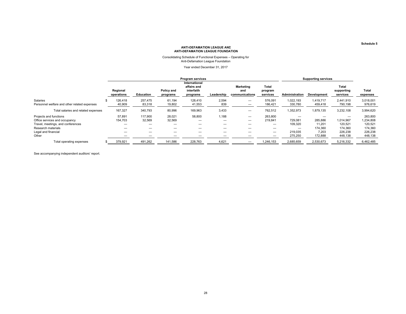# Consolidating Schedule of Functional Expenses – Operating for Anti-Defamation League Foundation

Year ended December 31, 2017

|                                              | <b>Program services</b> |                  |                        |                                                        |            |                                    |                              |                | <b>Supporting services</b> |                                 |                   |  |
|----------------------------------------------|-------------------------|------------------|------------------------|--------------------------------------------------------|------------|------------------------------------|------------------------------|----------------|----------------------------|---------------------------------|-------------------|--|
|                                              | Regional<br>operations  | <b>Education</b> | Policy and<br>programs | International<br>affairs and<br>interfaith<br>programs | Leadership | Marketing<br>and<br>communications | Total<br>program<br>services | Administration | <b>Development</b>         | Total<br>supporting<br>services | Total<br>expenses |  |
| Salaries                                     | 126.418                 | 257,475          | 61,194                 | 128,410                                                | 2,594      | –                                  | 576,091                      | 1.022.193      | 1,419,717                  | 2,441,910                       | 3,018,001         |  |
| Personnel welfare and other related expenses | 40,909                  | 83,318           | 19,802                 | 41,553                                                 | 839        | –                                  | 186,421                      | 330,780        | 459,418                    | 790,198                         | 976,619           |  |
| Total salaries and related expenses          | 167,327                 | 340,793          | 80,996                 | 169,963                                                | 3,433      |                                    | 762,512                      | 1,352,973      | 1,879,135                  | 3,232,108                       | 3,994,620         |  |
| Projects and functions                       | 57,891                  | 117,900          | 28,021                 | 58,800                                                 | 1,188      | $\overline{\phantom{0}}$           | 263,800                      | -              |                            | $\overline{\phantom{m}}$        | 263,800           |  |
| Office services and occupancy                | 154,703                 | 32,569           | 32,569                 | -                                                      | –          |                                    | 219,841                      | 729.081        | 285,886                    | 1.014.967                       | 1,234,808         |  |
| Travel, meetings, and conferences            |                         | –                |                        |                                                        |            |                                    |                              | 109,320        | 11,201                     | 120,521                         | 120,521           |  |
| Research materials                           |                         | —                | -                      | -                                                      |            | —                                  | –                            |                | 174,360                    | 174,360                         | 174,360           |  |
| Legal and financial                          |                         | -                |                        | -                                                      |            | —                                  | $\overline{\phantom{m}}$     | 219,035        | 7,203                      | 226,238                         | 226,238           |  |
| Other                                        |                         | _                |                        |                                                        |            |                                    | –                            | 275,250        | 172,888                    | 448,138                         | 448,138           |  |
| Total operating expenses                     | 379,921                 | 491,262          | 141,586                | 228,763                                                | 4,621      | $\overline{\phantom{0}}$           | 1,246,153                    | 2.685.659      | 2,530,673                  | 5,216,332                       | 6,462,485         |  |

See accompanying independent auditors' report.

**Schedule 5**